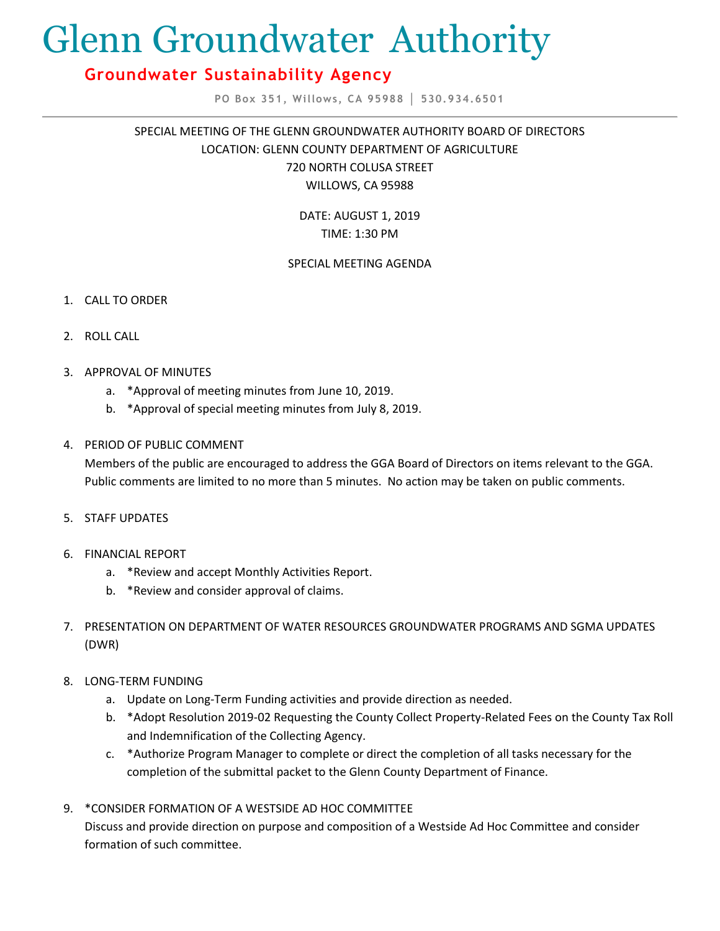# Glenn Groundwater Authority

## **Groundwater Sustainability Agency**

**PO Box 351, Willows, CA 95988 │ 530.934.6501**

SPECIAL MEETING OF THE GLENN GROUNDWATER AUTHORITY BOARD OF DIRECTORS LOCATION: GLENN COUNTY DEPARTMENT OF AGRICULTURE 720 NORTH COLUSA STREET WILLOWS, CA 95988

> DATE: AUGUST 1, 2019 TIME: 1:30 PM

### SPECIAL MEETING AGENDA

- 1. CALL TO ORDER
- 2. ROLL CALL
- 3. APPROVAL OF MINUTES
	- a. \*Approval of meeting minutes from June 10, 2019.
	- b. \*Approval of special meeting minutes from July 8, 2019.
- 4. PERIOD OF PUBLIC COMMENT

Members of the public are encouraged to address the GGA Board of Directors on items relevant to the GGA. Public comments are limited to no more than 5 minutes. No action may be taken on public comments.

- 5. STAFF UPDATES
- 6. FINANCIAL REPORT
	- a. \*Review and accept Monthly Activities Report.
	- b. \*Review and consider approval of claims.
- 7. PRESENTATION ON DEPARTMENT OF WATER RESOURCES GROUNDWATER PROGRAMS AND SGMA UPDATES (DWR)
- 8. LONG-TERM FUNDING
	- a. Update on Long-Term Funding activities and provide direction as needed.
	- b. \*Adopt Resolution 2019-02 Requesting the County Collect Property-Related Fees on the County Tax Roll and Indemnification of the Collecting Agency.
	- c. \*Authorize Program Manager to complete or direct the completion of all tasks necessary for the completion of the submittal packet to the Glenn County Department of Finance.
- 9. \*CONSIDER FORMATION OF A WESTSIDE AD HOC COMMITTEE Discuss and provide direction on purpose and composition of a Westside Ad Hoc Committee and consider formation of such committee.